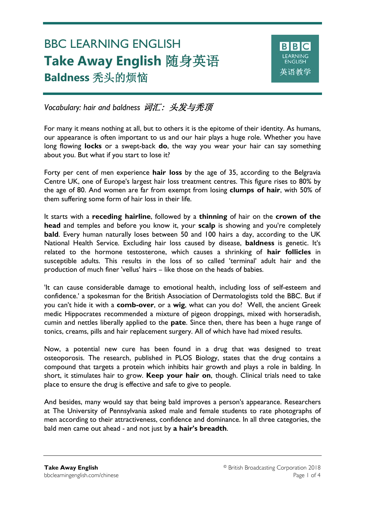# BBC LEARNING ENGLISH **Take Away English** 随身英语 **Baldness** 秃头的烦恼

Ξ



*Vocabulary: hair and baldness* 词汇: 头发与秃顶

For many it means nothing at all, but to others it is the epitome of their identity. As humans, our appearance is often important to us and our hair plays a huge role. Whether you have long flowing **locks** or a swept-back **do**, the way you wear your hair can say something about you. But what if you start to lose it?

Forty per cent of men experience **hair loss** by the age of 35, according to the Belgravia Centre UK, one of Europe's largest hair loss treatment centres. This figure rises to 80% by the age of 80. And women are far from exempt from losing **clumps of hair**, with 50% of them suffering some form of hair loss in their life.

It starts with a **receding hairline**, followed by a **thinning** of hair on the **crown of the head** and temples and before you know it, your **scalp** is showing and you're completely **bald**. Every human naturally loses between 50 and 100 hairs a day, according to the UK National Health Service. Excluding hair loss caused by disease, **baldness** is genetic. It's related to the hormone testosterone, which causes a shrinking of **hair follicles** in susceptible adults. This results in the loss of so called 'terminal' adult hair and the production of much finer 'vellus' hairs – like those on the heads of babies.

'It can cause considerable damage to emotional health, including loss of self-esteem and confidence.' a spokesman for the British Association of Dermatologists told the BBC. But if you can't hide it with a **comb-over**, or a **wig**, what can you do? Well, the ancient Greek medic Hippocrates recommended a mixture of pigeon droppings, mixed with horseradish, cumin and nettles liberally applied to the **pate**. Since then, there has been a huge range of tonics, creams, pills and hair replacement surgery. All of which have had mixed results.

Now, a potential new cure has been found in a drug that was designed to treat osteoporosis. The research, published in PLOS Biology, states that the drug contains a compound that targets a protein which inhibits hair growth and plays a role in balding. In short, it stimulates hair to grow. **Keep your hair on**, though. Clinical trials need to take place to ensure the drug is effective and safe to give to people.

And besides, many would say that being bald improves a person's appearance. Researchers at The University of Pennsylvania asked male and female students to rate photographs of men according to their attractiveness, confidence and dominance. In all three categories, the bald men came out ahead - and not just by **a hair's breadth**.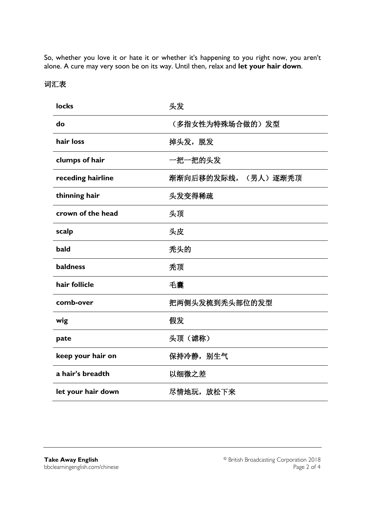So, whether you love it or hate it or whether it's happening to you right now, you aren't alone. A cure may very soon be on its way. Until then, relax and **let your hair down**.

## 词汇表

| <b>locks</b>       | 头发                  |  |
|--------------------|---------------------|--|
| do                 | (多指女性为特殊场合做的)发型     |  |
| hair loss          | 掉头发, 脱发             |  |
| clumps of hair     | 一把一把的头发             |  |
| receding hairline  | 渐渐向后移的发际线, (男人)逐渐秃顶 |  |
| thinning hair      | 头发变得稀疏              |  |
| crown of the head  | 头顶                  |  |
| scalp              | 头皮                  |  |
| bald               | 秃头的                 |  |
| baldness           | 秃顶                  |  |
| hair follicle      | 毛囊                  |  |
| comb-over          | 把两侧头发梳到秃头部位的发型      |  |
| wig                | 假发                  |  |
| pate               | 头顶 (谑称)             |  |
| keep your hair on  | 保持冷静, 别生气           |  |
| a hair's breadth   | 以细微之差               |  |
| let your hair down | 尽情地玩,放松下来           |  |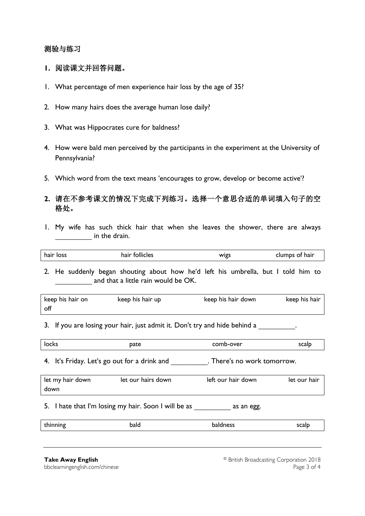#### 测验与练习

- **1.** 阅读课文并回答问题。
- 1. What percentage of men experience hair loss by the age of 35?
- 2. How many hairs does the average human lose daily?
- 3. What was Hippocrates cure for baldness?
- 4. How were bald men perceived by the participants in the experiment at the University of Pennsylvania?
- 5. Which word from the text means 'encourages to grow, develop or become active'?

### **2.** 请在不参考课文的情况下完成下列练习。选择一个意思合适的单词填入句子的空 格处。

1. My wife has such thick hair that when she leaves the shower, there are always in the drain.

|  | $\cdots$<br>hair loss<br>hair follicles<br>clumps of hair<br>WIgs |
|--|-------------------------------------------------------------------|
|--|-------------------------------------------------------------------|

2. He suddenly began shouting about how he'd left his umbrella, but I told him to and that a little rain would be OK.

| keep his hair on | keep his hair up | keep his hair down | keep his hair |
|------------------|------------------|--------------------|---------------|
| off              |                  |                    |               |

3. If you are losing your hair, just admit it. Don't try and hide behind a

| locks<br>pate | comb-over | scalp |
|---------------|-----------|-------|
|---------------|-----------|-------|

4. It's Friday. Let's go out for a drink and **Friday.** There's no work tomorrow.

| let my hair down | let our hairs down | left our hair down | let our hair |
|------------------|--------------------|--------------------|--------------|
| down             |                    |                    |              |

5. I hate that I'm losing my hair. Soon I will be as  $\qquad \qquad$  as an egg.

| المالمة<br>--------- | bald | --------- | $- - -$<br>cair<br>--- |
|----------------------|------|-----------|------------------------|